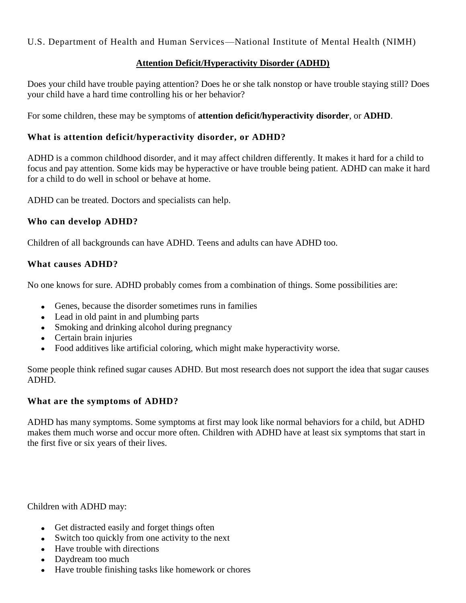U.S. Department of Health and Human Services—National Institute of Mental Health (NIMH)

### **Attention Deficit/Hyperactivity Disorder (ADHD)**

Does your child have trouble paying attention? Does he or she talk nonstop or have trouble staying still? Does your child have a hard time controlling his or her behavior?

For some children, these may be symptoms of **attention deficit/hyperactivity disorder**, or **ADHD**.

## **What is attention deficit/hyperactivity disorder, or ADHD?**

ADHD is a common childhood disorder, and it may affect children differently. It makes it hard for a child to focus and pay attention. Some kids may be hyperactive or have trouble being patient. ADHD can make it hard for a child to do well in school or behave at home.

ADHD can be treated. Doctors and specialists can help.

#### **Who can develop ADHD?**

Children of all backgrounds can have ADHD. Teens and adults can have ADHD too.

#### **What causes ADHD?**

No one knows for sure. ADHD probably comes from a combination of things. Some possibilities are:

- Genes, because the disorder sometimes runs in families
- Lead in old paint in and plumbing parts
- Smoking and drinking alcohol during pregnancy
- Certain brain injuries
- Food additives like artificial coloring, which might make hyperactivity worse.

Some people think refined sugar causes ADHD. But most research does not support the idea that sugar causes ADHD.

#### **What are the symptoms of ADHD?**

ADHD has many symptoms. Some symptoms at first may look like normal behaviors for a child, but ADHD makes them much worse and occur more often. Children with ADHD have at least six symptoms that start in the first five or six years of their lives.

Children with ADHD may:

- Get distracted easily and forget things often
- Switch too quickly from one activity to the next
- Have trouble with directions
- Daydream too much
- Have trouble finishing tasks like homework or chores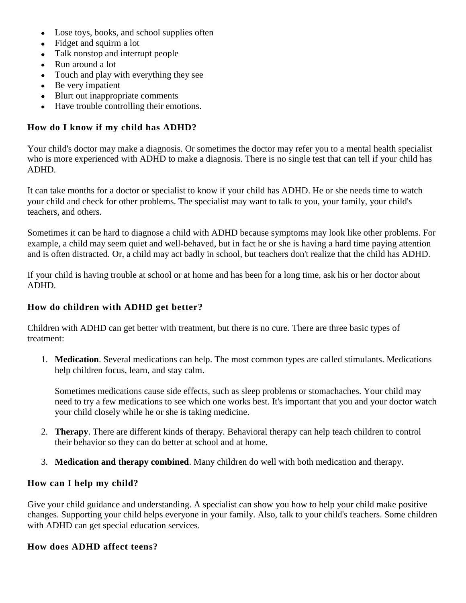- Lose toys, books, and school supplies often  $\bullet$
- Fidget and squirm a lot
- Talk nonstop and interrupt people
- Run around a lot
- Touch and play with everything they see
- Be very impatient
- Blurt out inappropriate comments
- Have trouble controlling their emotions.  $\bullet$

## **How do I know if my child has ADHD?**

Your child's doctor may make a diagnosis. Or sometimes the doctor may refer you to a mental health specialist who is more experienced with ADHD to make a diagnosis. There is no single test that can tell if your child has ADHD.

It can take months for a doctor or specialist to know if your child has ADHD. He or she needs time to watch your child and check for other problems. The specialist may want to talk to you, your family, your child's teachers, and others.

Sometimes it can be hard to diagnose a child with ADHD because symptoms may look like other problems. For example, a child may seem quiet and well-behaved, but in fact he or she is having a hard time paying attention and is often distracted. Or, a child may act badly in school, but teachers don't realize that the child has ADHD.

If your child is having trouble at school or at home and has been for a long time, ask his or her doctor about ADHD.

### **How do children with ADHD get better?**

Children with ADHD can get better with treatment, but there is no cure. There are three basic types of treatment:

1. **Medication**. Several medications can help. The most common types are called stimulants. Medications help children focus, learn, and stay calm.

Sometimes medications cause side effects, such as sleep problems or stomachaches. Your child may need to try a few medications to see which one works best. It's important that you and your doctor watch your child closely while he or she is taking medicine.

- 2. **Therapy**. There are different kinds of therapy. Behavioral therapy can help teach children to control their behavior so they can do better at school and at home.
- 3. **Medication and therapy combined**. Many children do well with both medication and therapy.

#### **How can I help my child?**

Give your child guidance and understanding. A specialist can show you how to help your child make positive changes. Supporting your child helps everyone in your family. Also, talk to your child's teachers. Some children with ADHD can get special education services.

#### **How does ADHD affect teens?**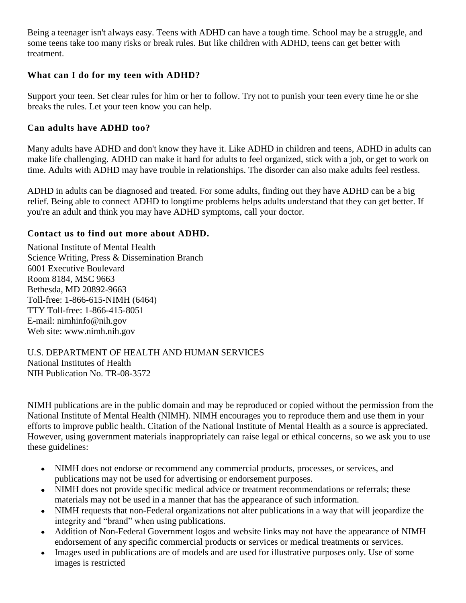Being a teenager isn't always easy. Teens with ADHD can have a tough time. School may be a struggle, and some teens take too many risks or break rules. But like children with ADHD, teens can get better with treatment.

## **What can I do for my teen with ADHD?**

Support your teen. Set clear rules for him or her to follow. Try not to punish your teen every time he or she breaks the rules. Let your teen know you can help.

# **Can adults have ADHD too?**

Many adults have ADHD and don't know they have it. Like ADHD in children and teens, ADHD in adults can make life challenging. ADHD can make it hard for adults to feel organized, stick with a job, or get to work on time. Adults with ADHD may have trouble in relationships. The disorder can also make adults feel restless.

ADHD in adults can be diagnosed and treated. For some adults, finding out they have ADHD can be a big relief. Being able to connect ADHD to longtime problems helps adults understand that they can get better. If you're an adult and think you may have ADHD symptoms, call your doctor.

# **Contact us to find out more about ADHD.**

National Institute of Mental Health Science Writing, Press & Dissemination Branch 6001 Executive Boulevard Room 8184, MSC 9663 Bethesda, MD 20892-9663 Toll-free: 1-866-615-NIMH (6464) TTY Toll-free: 1-866-415-8051 E-mail: [nimhinfo@nih.gov](mailto:nimhinfo@nih.gov) Web site: [www.nimh.nih.gov](http://www.nimh.nih.gov/)

#### U.S. DEPARTMENT OF HEALTH AND HUMAN SERVICES National Institutes of Health NIH Publication No. TR-08-3572

NIMH publications are in the public domain and may be reproduced or copied without the permission from the National Institute of Mental Health (NIMH). NIMH encourages you to reproduce them and use them in your efforts to improve public health. Citation of the National Institute of Mental Health as a source is appreciated. However, using government materials inappropriately can raise legal or ethical concerns, so we ask you to use these guidelines:

- NIMH does not endorse or recommend any commercial products, processes, or services, and publications may not be used for advertising or endorsement purposes.
- NIMH does not provide specific medical advice or treatment recommendations or referrals; these materials may not be used in a manner that has the appearance of such information.
- NIMH requests that non-Federal organizations not alter publications in a way that will jeopardize the integrity and "brand" when using publications.
- Addition of Non-Federal Government logos and website links may not have the appearance of NIMH endorsement of any specific commercial products or services or medical treatments or services.
- Images used in publications are of models and are used for illustrative purposes only. Use of some  $\bullet$ images is restricted